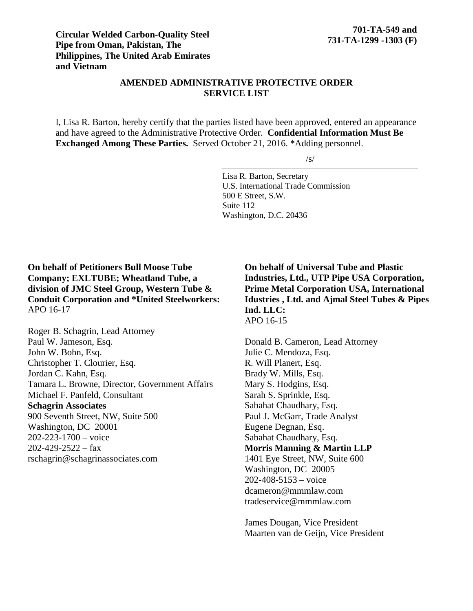# **AMENDED ADMINISTRATIVE PROTECTIVE ORDER SERVICE LIST**

I, Lisa R. Barton, hereby certify that the parties listed have been approved, entered an appearance and have agreed to the Administrative Protective Order. **Confidential Information Must Be Exchanged Among These Parties.** Served October 21, 2016. \*Adding personnel.

 $\sqrt{s/}$ 

Lisa R. Barton, Secretary U.S. International Trade Commission 500 E Street, S.W. Suite 112 Washington, D.C. 20436

**On behalf of Petitioners Bull Moose Tube Company; EXLTUBE; Wheatland Tube, a division of JMC Steel Group, Western Tube & Conduit Corporation and \*United Steelworkers:** APO 16-17

Roger B. Schagrin, Lead Attorney Paul W. Jameson, Esq. John W. Bohn, Esq. Christopher T. Clourier, Esq. Jordan C. Kahn, Esq. Tamara L. Browne, Director, Government Affairs Michael F. Panfeld, Consultant **Schagrin Associates** 900 Seventh Street, NW, Suite 500 Washington, DC 20001 202-223-1700 – voice  $202-429-2522 - fax$ rschagrin@schagrinassociates.com

**On behalf of Universal Tube and Plastic Industries, Ltd., UTP Pipe USA Corporation, Prime Metal Corporation USA, International Idustries , Ltd. and Ajmal Steel Tubes & Pipes Ind. LLC:** APO 16-15

Donald B. Cameron, Lead Attorney Julie C. Mendoza, Esq. R. Will Planert, Esq. Brady W. Mills, Esq. Mary S. Hodgins, Esq. Sarah S. Sprinkle, Esq. Sabahat Chaudhary, Esq. Paul J. McGarr, Trade Analyst Eugene Degnan, Esq. Sabahat Chaudhary, Esq. **Morris Manning & Martin LLP** 1401 Eye Street, NW, Suite 600 Washington, DC 20005 202-408-5153 – voice dcameron@mmmlaw.com tradeservice@mmmlaw.com

James Dougan, Vice President Maarten van de Geijn, Vice President